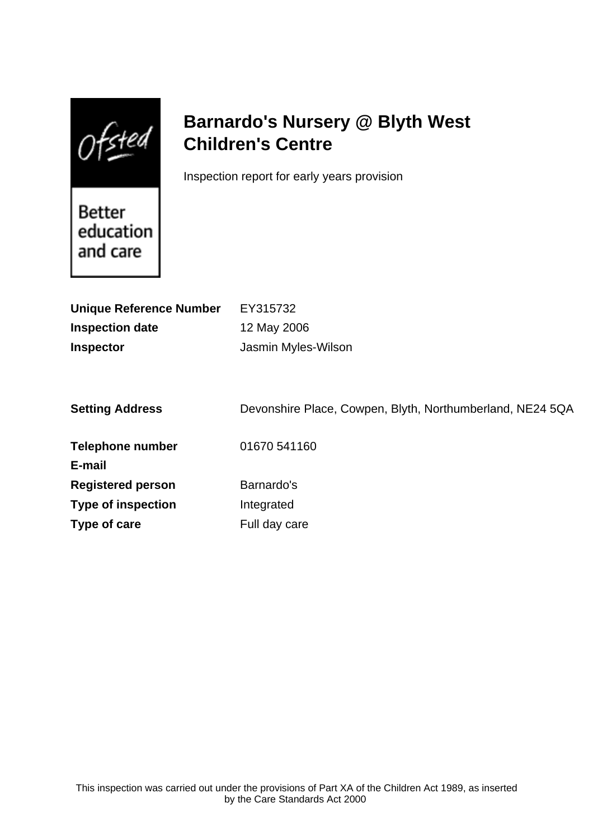$Of$ sted

# **Barnardo's Nursery @ Blyth West Children's Centre**

Inspection report for early years provision

Better education and care

| EY315732                                                  |
|-----------------------------------------------------------|
| 12 May 2006                                               |
| Jasmin Myles-Wilson                                       |
|                                                           |
| Devonshire Place, Cowpen, Blyth, Northumberland, NE24 5QA |
| 01670 541160                                              |
|                                                           |
| Barnardo's                                                |
| Integrated                                                |
| Full day care                                             |
|                                                           |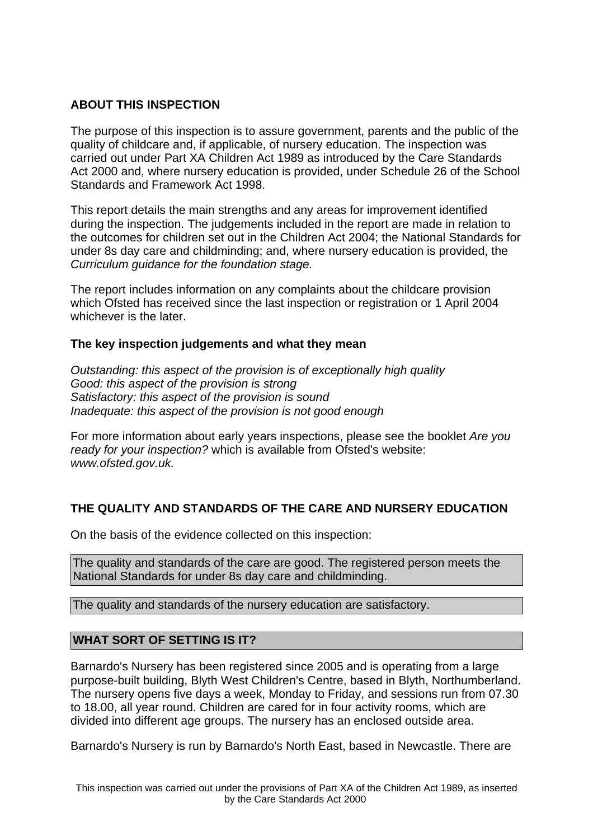### **ABOUT THIS INSPECTION**

The purpose of this inspection is to assure government, parents and the public of the quality of childcare and, if applicable, of nursery education. The inspection was carried out under Part XA Children Act 1989 as introduced by the Care Standards Act 2000 and, where nursery education is provided, under Schedule 26 of the School Standards and Framework Act 1998.

This report details the main strengths and any areas for improvement identified during the inspection. The judgements included in the report are made in relation to the outcomes for children set out in the Children Act 2004; the National Standards for under 8s day care and childminding; and, where nursery education is provided, the Curriculum guidance for the foundation stage.

The report includes information on any complaints about the childcare provision which Ofsted has received since the last inspection or registration or 1 April 2004 whichever is the later.

#### **The key inspection judgements and what they mean**

Outstanding: this aspect of the provision is of exceptionally high quality Good: this aspect of the provision is strong Satisfactory: this aspect of the provision is sound Inadequate: this aspect of the provision is not good enough

For more information about early years inspections, please see the booklet Are you ready for your inspection? which is available from Ofsted's website: www.ofsted.gov.uk.

## **THE QUALITY AND STANDARDS OF THE CARE AND NURSERY EDUCATION**

On the basis of the evidence collected on this inspection:

The quality and standards of the care are good. The registered person meets the National Standards for under 8s day care and childminding.

The quality and standards of the nursery education are satisfactory.

#### **WHAT SORT OF SETTING IS IT?**

Barnardo's Nursery has been registered since 2005 and is operating from a large purpose-built building, Blyth West Children's Centre, based in Blyth, Northumberland. The nursery opens five days a week, Monday to Friday, and sessions run from 07.30 to 18.00, all year round. Children are cared for in four activity rooms, which are divided into different age groups. The nursery has an enclosed outside area.

Barnardo's Nursery is run by Barnardo's North East, based in Newcastle. There are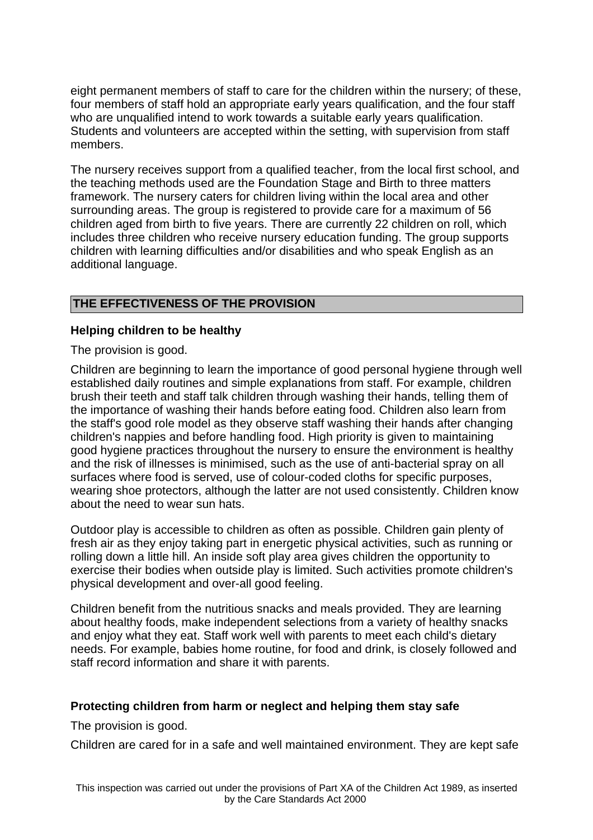eight permanent members of staff to care for the children within the nursery; of these, four members of staff hold an appropriate early years qualification, and the four staff who are unqualified intend to work towards a suitable early years qualification. Students and volunteers are accepted within the setting, with supervision from staff members.

The nursery receives support from a qualified teacher, from the local first school, and the teaching methods used are the Foundation Stage and Birth to three matters framework. The nursery caters for children living within the local area and other surrounding areas. The group is registered to provide care for a maximum of 56 children aged from birth to five years. There are currently 22 children on roll, which includes three children who receive nursery education funding. The group supports children with learning difficulties and/or disabilities and who speak English as an additional language.

## **THE EFFECTIVENESS OF THE PROVISION**

#### **Helping children to be healthy**

The provision is good.

Children are beginning to learn the importance of good personal hygiene through well established daily routines and simple explanations from staff. For example, children brush their teeth and staff talk children through washing their hands, telling them of the importance of washing their hands before eating food. Children also learn from the staff's good role model as they observe staff washing their hands after changing children's nappies and before handling food. High priority is given to maintaining good hygiene practices throughout the nursery to ensure the environment is healthy and the risk of illnesses is minimised, such as the use of anti-bacterial spray on all surfaces where food is served, use of colour-coded cloths for specific purposes, wearing shoe protectors, although the latter are not used consistently. Children know about the need to wear sun hats.

Outdoor play is accessible to children as often as possible. Children gain plenty of fresh air as they enjoy taking part in energetic physical activities, such as running or rolling down a little hill. An inside soft play area gives children the opportunity to exercise their bodies when outside play is limited. Such activities promote children's physical development and over-all good feeling.

Children benefit from the nutritious snacks and meals provided. They are learning about healthy foods, make independent selections from a variety of healthy snacks and enjoy what they eat. Staff work well with parents to meet each child's dietary needs. For example, babies home routine, for food and drink, is closely followed and staff record information and share it with parents.

#### **Protecting children from harm or neglect and helping them stay safe**

The provision is good.

Children are cared for in a safe and well maintained environment. They are kept safe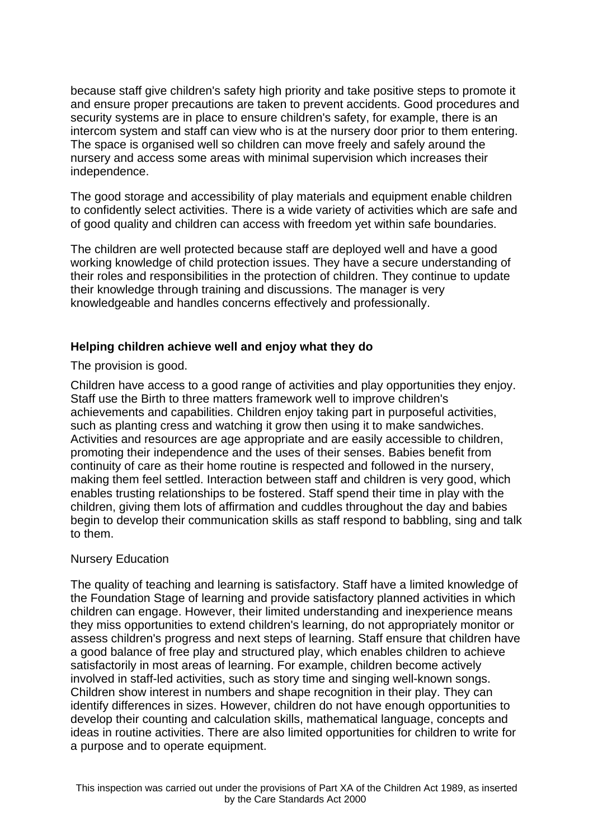because staff give children's safety high priority and take positive steps to promote it and ensure proper precautions are taken to prevent accidents. Good procedures and security systems are in place to ensure children's safety, for example, there is an intercom system and staff can view who is at the nursery door prior to them entering. The space is organised well so children can move freely and safely around the nursery and access some areas with minimal supervision which increases their independence.

The good storage and accessibility of play materials and equipment enable children to confidently select activities. There is a wide variety of activities which are safe and of good quality and children can access with freedom yet within safe boundaries.

The children are well protected because staff are deployed well and have a good working knowledge of child protection issues. They have a secure understanding of their roles and responsibilities in the protection of children. They continue to update their knowledge through training and discussions. The manager is very knowledgeable and handles concerns effectively and professionally.

#### **Helping children achieve well and enjoy what they do**

The provision is good.

Children have access to a good range of activities and play opportunities they enjoy. Staff use the Birth to three matters framework well to improve children's achievements and capabilities. Children enjoy taking part in purposeful activities, such as planting cress and watching it grow then using it to make sandwiches. Activities and resources are age appropriate and are easily accessible to children, promoting their independence and the uses of their senses. Babies benefit from continuity of care as their home routine is respected and followed in the nursery, making them feel settled. Interaction between staff and children is very good, which enables trusting relationships to be fostered. Staff spend their time in play with the children, giving them lots of affirmation and cuddles throughout the day and babies begin to develop their communication skills as staff respond to babbling, sing and talk to them.

#### Nursery Education

The quality of teaching and learning is satisfactory. Staff have a limited knowledge of the Foundation Stage of learning and provide satisfactory planned activities in which children can engage. However, their limited understanding and inexperience means they miss opportunities to extend children's learning, do not appropriately monitor or assess children's progress and next steps of learning. Staff ensure that children have a good balance of free play and structured play, which enables children to achieve satisfactorily in most areas of learning. For example, children become actively involved in staff-led activities, such as story time and singing well-known songs. Children show interest in numbers and shape recognition in their play. They can identify differences in sizes. However, children do not have enough opportunities to develop their counting and calculation skills, mathematical language, concepts and ideas in routine activities. There are also limited opportunities for children to write for a purpose and to operate equipment.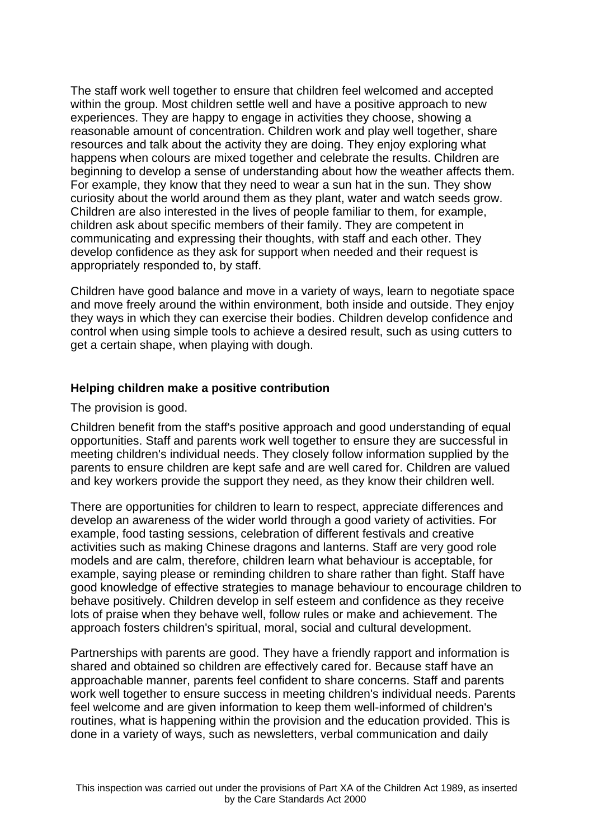The staff work well together to ensure that children feel welcomed and accepted within the group. Most children settle well and have a positive approach to new experiences. They are happy to engage in activities they choose, showing a reasonable amount of concentration. Children work and play well together, share resources and talk about the activity they are doing. They enjoy exploring what happens when colours are mixed together and celebrate the results. Children are beginning to develop a sense of understanding about how the weather affects them. For example, they know that they need to wear a sun hat in the sun. They show curiosity about the world around them as they plant, water and watch seeds grow. Children are also interested in the lives of people familiar to them, for example, children ask about specific members of their family. They are competent in communicating and expressing their thoughts, with staff and each other. They develop confidence as they ask for support when needed and their request is appropriately responded to, by staff.

Children have good balance and move in a variety of ways, learn to negotiate space and move freely around the within environment, both inside and outside. They enjoy they ways in which they can exercise their bodies. Children develop confidence and control when using simple tools to achieve a desired result, such as using cutters to get a certain shape, when playing with dough.

#### **Helping children make a positive contribution**

The provision is good.

Children benefit from the staff's positive approach and good understanding of equal opportunities. Staff and parents work well together to ensure they are successful in meeting children's individual needs. They closely follow information supplied by the parents to ensure children are kept safe and are well cared for. Children are valued and key workers provide the support they need, as they know their children well.

There are opportunities for children to learn to respect, appreciate differences and develop an awareness of the wider world through a good variety of activities. For example, food tasting sessions, celebration of different festivals and creative activities such as making Chinese dragons and lanterns. Staff are very good role models and are calm, therefore, children learn what behaviour is acceptable, for example, saying please or reminding children to share rather than fight. Staff have good knowledge of effective strategies to manage behaviour to encourage children to behave positively. Children develop in self esteem and confidence as they receive lots of praise when they behave well, follow rules or make and achievement. The approach fosters children's spiritual, moral, social and cultural development.

Partnerships with parents are good. They have a friendly rapport and information is shared and obtained so children are effectively cared for. Because staff have an approachable manner, parents feel confident to share concerns. Staff and parents work well together to ensure success in meeting children's individual needs. Parents feel welcome and are given information to keep them well-informed of children's routines, what is happening within the provision and the education provided. This is done in a variety of ways, such as newsletters, verbal communication and daily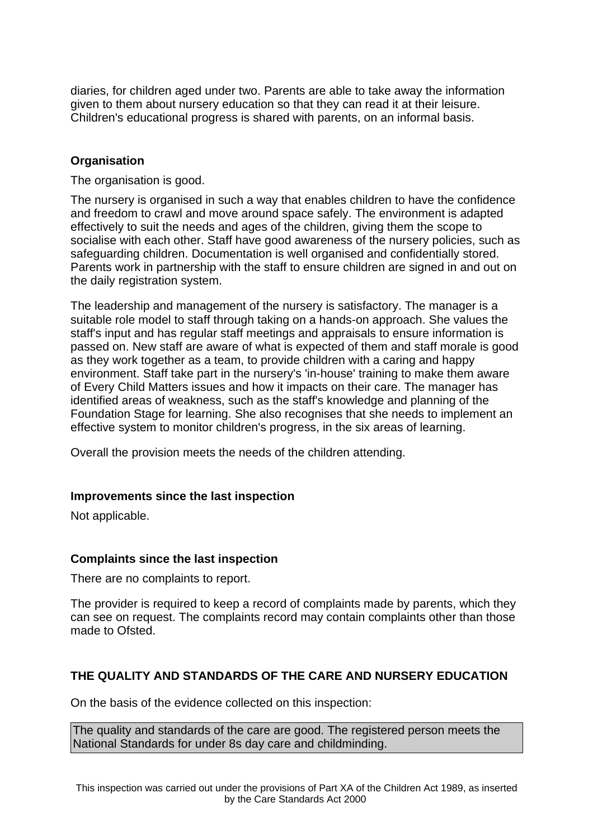diaries, for children aged under two. Parents are able to take away the information given to them about nursery education so that they can read it at their leisure. Children's educational progress is shared with parents, on an informal basis.

#### **Organisation**

The organisation is good.

The nursery is organised in such a way that enables children to have the confidence and freedom to crawl and move around space safely. The environment is adapted effectively to suit the needs and ages of the children, giving them the scope to socialise with each other. Staff have good awareness of the nursery policies, such as safeguarding children. Documentation is well organised and confidentially stored. Parents work in partnership with the staff to ensure children are signed in and out on the daily registration system.

The leadership and management of the nursery is satisfactory. The manager is a suitable role model to staff through taking on a hands-on approach. She values the staff's input and has regular staff meetings and appraisals to ensure information is passed on. New staff are aware of what is expected of them and staff morale is good as they work together as a team, to provide children with a caring and happy environment. Staff take part in the nursery's 'in-house' training to make them aware of Every Child Matters issues and how it impacts on their care. The manager has identified areas of weakness, such as the staff's knowledge and planning of the Foundation Stage for learning. She also recognises that she needs to implement an effective system to monitor children's progress, in the six areas of learning.

Overall the provision meets the needs of the children attending.

#### **Improvements since the last inspection**

Not applicable.

#### **Complaints since the last inspection**

There are no complaints to report.

The provider is required to keep a record of complaints made by parents, which they can see on request. The complaints record may contain complaints other than those made to Ofsted.

## **THE QUALITY AND STANDARDS OF THE CARE AND NURSERY EDUCATION**

On the basis of the evidence collected on this inspection:

The quality and standards of the care are good. The registered person meets the National Standards for under 8s day care and childminding.